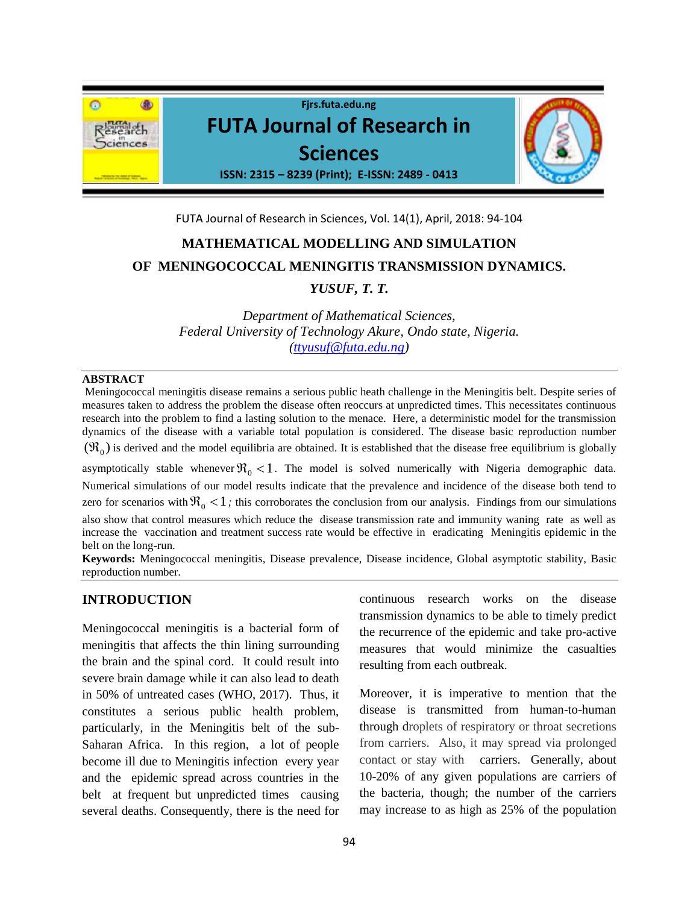

FUTA Journal of Research in Sciences, Vol. 14(1), April, 2018: 94-104

# **MATHEMATICAL MODELLING AND SIMULATION OF MENINGOCOCCAL MENINGITIS TRANSMISSION DYNAMICS.**

# *YUSUF, T. T.*

*Department of Mathematical Sciences, Federal University of Technology Akure, Ondo state, Nigeria. [\(ttyusuf@futa.edu.ng\)](mailto:ttyusuf@futa.edu.ng)*

## **ABSTRACT**

Meningococcal meningitis disease remains a serious public heath challenge in the Meningitis belt. Despite series of measures taken to address the problem the disease often reoccurs at unpredicted times. This necessitates continuous research into the problem to find a lasting solution to the menace. Here, a deterministic model for the transmission dynamics of the disease with a variable total population is considered. The disease basic reproduction number  $(\Re_0)$  is derived and the model equilibria are obtained. It is established that the disease free equilibrium is globally

asymptotically stable whenever  $\Re_0 < 1$ . The model is solved numerically with Nigeria demographic data. Numerical simulations of our model results indicate that the prevalence and incidence of the disease both tend to zero for scenarios with  $\Re_0 < 1$ ; this corroborates the conclusion from our analysis. Findings from our simulations also show that control measures which reduce the disease transmission rate and immunity waning rate as well as increase the vaccination and treatment success rate would be effective in eradicating Meningitis epidemic in the belt on the long-run.

**Keywords:** Meningococcal meningitis, Disease prevalence, Disease incidence, Global asymptotic stability, Basic reproduction number.

## **INTRODUCTION**

Meningococcal meningitis is a bacterial form of meningitis that affects the thin lining surrounding the brain and the spinal cord. It could result into severe brain damage while it can also lead to death in 50% of untreated cases (WHO, 2017). Thus, it constitutes a serious public health problem, particularly, in the Meningitis belt of the sub-Saharan Africa. In this region, a lot of people become ill due to Meningitis infection every year and the epidemic spread across countries in the belt at frequent but unpredicted times causing several deaths. Consequently, there is the need for

continuous research works on the disease transmission dynamics to be able to timely predict the recurrence of the epidemic and take pro-active measures that would minimize the casualties resulting from each outbreak.

Moreover, it is imperative to mention that the disease is transmitted from human-to-human through droplets of respiratory or throat secretions from carriers. Also, it may spread via prolonged contact or stay with carriers. Generally, about 10-20% of any given populations are carriers of the bacteria, though; the number of the carriers may increase to as high as 25% of the population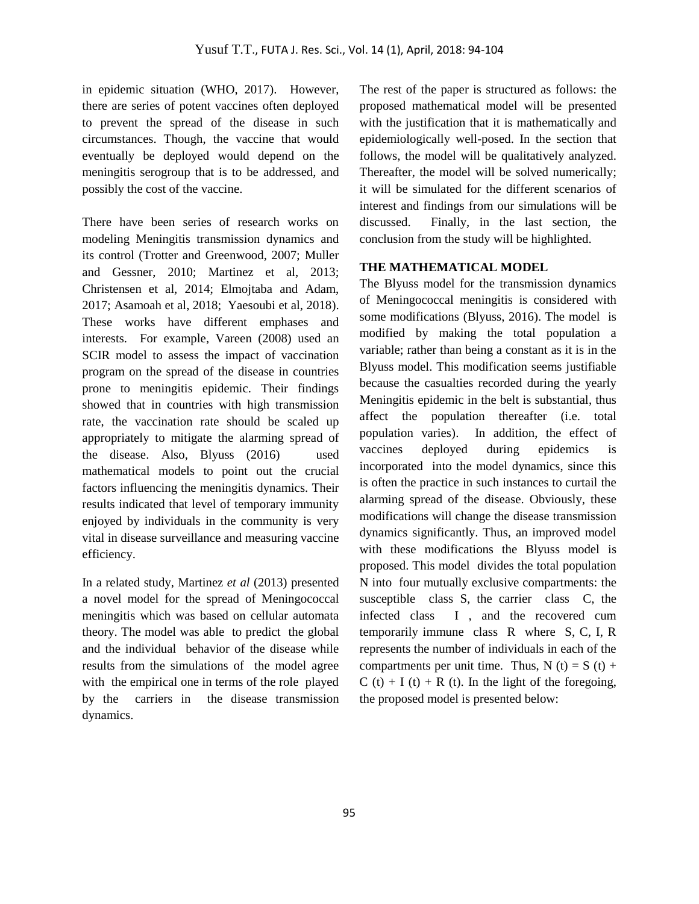in epidemic situation (WHO, 2017). However, there are series of potent vaccines often deployed to prevent the spread of the disease in such circumstances. Though, the vaccine that would eventually be deployed would depend on the meningitis serogroup that is to be addressed, and possibly the cost of the vaccine.

There have been series of research works on modeling Meningitis transmission dynamics and its control (Trotter and Greenwood, 2007; Muller and Gessner, 2010; Martinez et al, 2013; Christensen et al, 2014; Elmojtaba and Adam, 2017; Asamoah et al, 2018; Yaesoubi et al, 2018). These works have different emphases and interests. For example, Vareen (2008) used an SCIR model to assess the impact of vaccination program on the spread of the disease in countries prone to meningitis epidemic. Their findings showed that in countries with high transmission rate, the vaccination rate should be scaled up appropriately to mitigate the alarming spread of the disease. Also, Blyuss (2016) used mathematical models to point out the crucial factors influencing the meningitis dynamics. Their results indicated that level of temporary immunity enjoyed by individuals in the community is very vital in disease surveillance and measuring vaccine efficiency.

In a related study, Martinez *et al* (2013) presented a novel model for the spread of Meningococcal meningitis which was based on cellular automata theory. The model was able to predict the global and the individual behavior of the disease while results from the simulations of the model agree with the empirical one in terms of the role played by the carriers in the disease transmission dynamics.

The rest of the paper is structured as follows: the proposed mathematical model will be presented with the justification that it is mathematically and epidemiologically well-posed. In the section that follows, the model will be qualitatively analyzed. Thereafter, the model will be solved numerically; it will be simulated for the different scenarios of interest and findings from our simulations will be discussed. Finally, in the last section, the conclusion from the study will be highlighted.

## **THE MATHEMATICAL MODEL**

The Blyuss model for the transmission dynamics of Meningococcal meningitis is considered with some modifications (Blyuss, 2016). The model is modified by making the total population a variable; rather than being a constant as it is in the Blyuss model. This modification seems justifiable because the casualties recorded during the yearly Meningitis epidemic in the belt is substantial, thus affect the population thereafter (i.e. total population varies). In addition, the effect of vaccines deployed during epidemics is incorporated into the model dynamics, since this is often the practice in such instances to curtail the alarming spread of the disease. Obviously, these modifications will change the disease transmission dynamics significantly. Thus, an improved model with these modifications the Blyuss model is proposed. This model divides the total population N into four mutually exclusive compartments: the susceptible class S, the carrier class C, the infected class I , and the recovered cum temporarily immune class R where S, C, I, R represents the number of individuals in each of the compartments per unit time. Thus,  $N(t) = S(t) +$  $C(t) + I(t) + R(t)$ . In the light of the foregoing, the proposed model is presented below: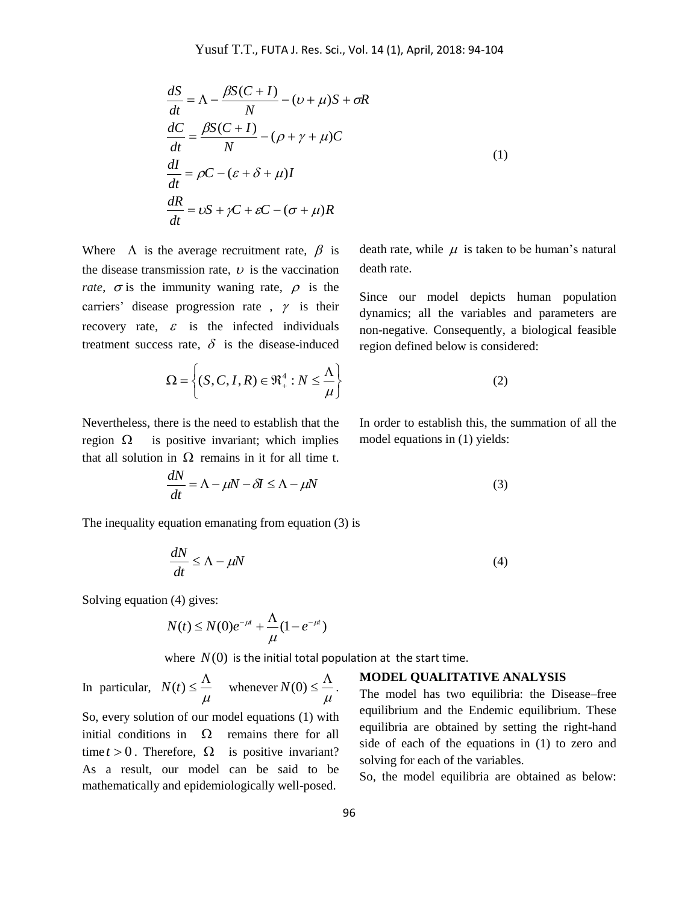$$
\frac{dS}{dt} = \Lambda - \frac{\beta S(C+I)}{N} - (\nu + \mu)S + \sigma R
$$
  
\n
$$
\frac{dC}{dt} = \frac{\beta S(C+I)}{N} - (\rho + \gamma + \mu)C
$$
  
\n
$$
\frac{dI}{dt} = \rho C - (\varepsilon + \delta + \mu)I
$$
  
\n
$$
\frac{dR}{dt} = \nu S + \gamma C + \varepsilon C - (\sigma + \mu)R
$$
\n(1)

Where  $\Lambda$  is the average recruitment rate,  $\beta$  is the disease transmission rate,  $\nu$  is the vaccination *rate*,  $\sigma$  is the immunity waning rate,  $\rho$  is the carriers' disease progression rate,  $\gamma$  is their recovery rate,  $\varepsilon$  is the infected individuals treatment success rate,  $\delta$  is the disease-induced

death rate, while  $\mu$  is taken to be human's natural death rate.

Since our model depicts human population dynamics; all the variables and parameters are non-negative. Consequently, a biological feasible region defined below is considered:

$$
\Omega = \left\{ (S, C, I, R) \in \mathfrak{R}_+^4 : N \le \frac{\Lambda}{\mu} \right\}
$$
 (2)

Nevertheless, there is the need to establish that the region  $\Omega$  is positive invariant; which implies that all solution in  $\Omega$  remains in it for all time t. In order to establish this, the summation of all the model equations in (1) yields:

$$
\frac{dN}{dt} = \Lambda - \mu N - \delta I \le \Lambda - \mu N \tag{3}
$$

The inequality equation emanating from equation (3) is

$$
\frac{dN}{dt} \le \Lambda - \mu N \tag{4}
$$

Solving equation (4) gives:

$$
N(t) \le N(0)e^{-\mu t} + \frac{\Lambda}{\mu}(1 - e^{-\mu t})
$$

where  $N(0)$  is the initial total population at the start time.

In particular,  $\mu$  $N(t) \leq \frac{\Lambda}{t}$  whenever  $\mu$  $N(0) \leq \frac{\Lambda}{\Lambda}$ .

So, every solution of our model equations (1) with initial conditions in  $\Omega$  remains there for all time  $t > 0$ . Therefore,  $\Omega$  is positive invariant? As a result, our model can be said to be mathematically and epidemiologically well-posed.

## **MODEL QUALITATIVE ANALYSIS**

The model has two equilibria: the Disease–free equilibrium and the Endemic equilibrium. These equilibria are obtained by setting the right-hand side of each of the equations in (1) to zero and solving for each of the variables.

So, the model equilibria are obtained as below: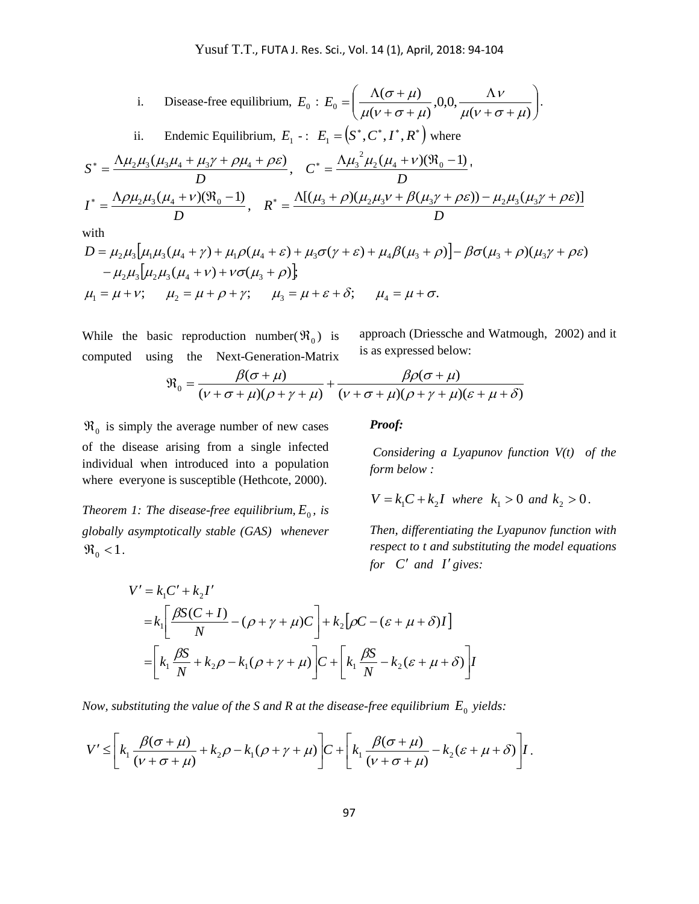i. Disease-free equilibrium, 
$$
E_0
$$
:  $E_0 = \left(\frac{\Lambda(\sigma + \mu)}{\mu(\nu + \sigma + \mu)}, 0, 0, \frac{\Lambda \nu}{\mu(\nu + \sigma + \mu)}\right)$ .  
\nii. Endemic Equilibrium,  $E_1$ :  $E_1 = \left(S^*, C^*, I^*, R^*\right)$  where  
\n
$$
S^* = \frac{\Lambda \mu_2 \mu_3 (\mu_3 \mu_4 + \mu_3 \gamma + \rho \mu_4 + \rho \varepsilon)}{D}, \quad C^* = \frac{\Lambda \mu_3^2 \mu_2 (\mu_4 + \nu)(\Re_0 - 1)}{D},
$$
\n
$$
I^* = \frac{\Lambda \rho \mu_2 \mu_3 (\mu_4 + \nu)(\Re_0 - 1)}{D}, \quad R^* = \frac{\Lambda[(\mu_3 + \rho)(\mu_2 \mu_3 \nu + \beta(\mu_3 \gamma + \rho \varepsilon)) - \mu_2 \mu_3(\mu_3 \gamma + \rho \varepsilon)]}{D}
$$
\nwith  
\n $D = \mu_2 \mu_3 [\mu_1 \mu_3 (\mu_4 + \gamma) + \mu_1 \rho (\mu_4 + \varepsilon) + \mu_3 \sigma (\gamma + \varepsilon) + \mu_4 \beta(\mu_3 + \rho)] - \beta \sigma (\mu_3 + \rho)(\mu_3 \gamma + \rho \varepsilon)$ 

with

$$
A = \frac{D}{D}
$$
  
\nwith  
\n
$$
D = \mu_2 \mu_3 [\mu_1 \mu_3 (\mu_4 + \gamma) + \mu_1 \rho (\mu_4 + \varepsilon) + \mu_3 \sigma (\gamma + \varepsilon) + \mu_4 \beta (\mu_3 + \rho)] - \beta \sigma (\mu_3 + \rho) (\mu_3 \gamma + \rho \varepsilon)
$$
  
\n
$$
- \mu_2 \mu_3 [\mu_2 \mu_3 (\mu_4 + \nu) + \nu \sigma (\mu_3 + \rho)];
$$
  
\n
$$
\mu_1 = \mu + \nu; \quad \mu_2 = \mu + \rho + \gamma; \quad \mu_3 = \mu + \varepsilon + \delta; \quad \mu_4 = \mu + \sigma.
$$

While the basic reproduction number( $\Re_0$ ) is computed using the Next-Generation-Matrix

approach (Driessche and Watmough, 2002) and it is as expressed below:

$$
\mathfrak{R}_0 = \frac{\beta(\sigma + \mu)}{(\nu + \sigma + \mu)(\rho + \gamma + \mu)} + \frac{\beta\rho(\sigma + \mu)}{(\nu + \sigma + \mu)(\rho + \gamma + \mu)(\varepsilon + \mu + \delta)}
$$

 $\Re_0$  is simply the average number of new cases of the disease arising from a single infected individual when introduced into a population where everyone is susceptible (Hethcote, 2000).

*Theorem 1: The disease-free equilibrium,*  $E_0$ , *is globally asymptotically stable (GAS) whenever*   $\Re_0 < 1$ .

## *Proof:*

*Considering a Lyapunov function V(t) of the form below :*

$$
V = k_1 C + k_2 I
$$
 where  $k_1 > 0$  and  $k_2 > 0$ .

*Then, differentiating the Lyapunov function with respect to t and substituting the model equations for*  $C'$  *and*  $I'$  gives:

$$
V' = k_1 C' + k_2 I'
$$
  
=  $k_1 \left[ \frac{\beta S(C+I)}{N} - (\rho + \gamma + \mu)C \right] + k_2 [\rho C - (\varepsilon + \mu + \delta)I]$   
=  $\left[ k_1 \frac{\beta S}{N} + k_2 \rho - k_1 (\rho + \gamma + \mu) \right] C + \left[ k_1 \frac{\beta S}{N} - k_2 (\varepsilon + \mu + \delta) \right] I$ 

*Now, substituting the value of the S and R at the disease-free equilibrium*  $E_0$  *yields:* 

$$
V' \leq \left[k_1 \frac{\beta(\sigma + \mu)}{(\nu + \sigma + \mu)} + k_2 \rho - k_1(\rho + \gamma + \mu)\right]C + \left[k_1 \frac{\beta(\sigma + \mu)}{(\nu + \sigma + \mu)} - k_2(\varepsilon + \mu + \delta)\right]I.
$$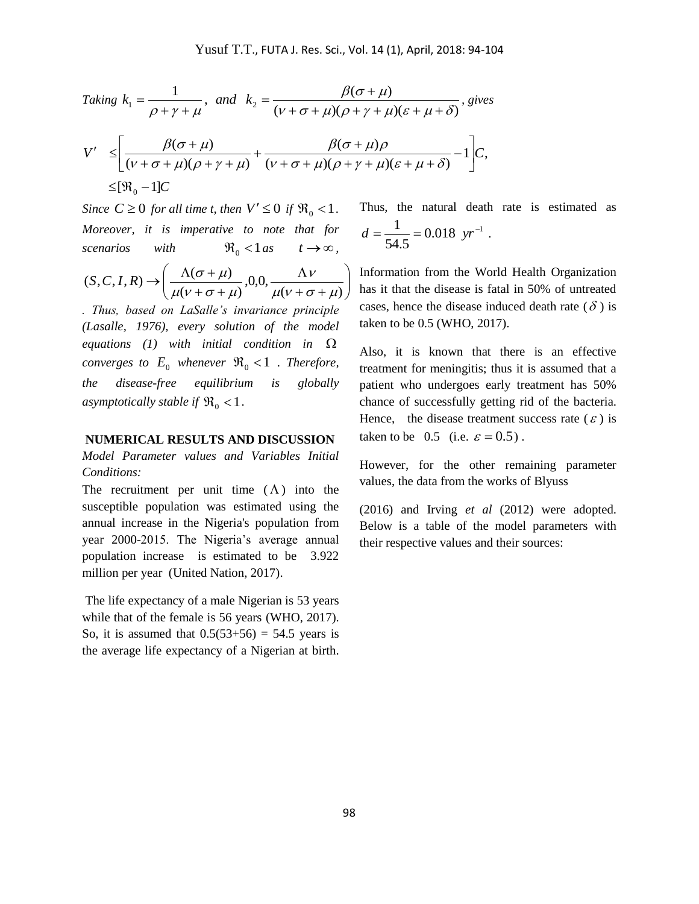$\overline{\phantom{a}}$  $\overline{\phantom{a}}$  $\bigg)$  $\setminus$ 

Taking 
$$
k_1 = \frac{1}{\rho + \gamma + \mu}
$$
, and  $k_2 = \frac{\beta(\sigma + \mu)}{(\nu + \sigma + \mu)(\rho + \gamma + \mu)(\varepsilon + \mu + \delta)}$ , gives  
\n
$$
V' \leq \left[ \frac{\beta(\sigma + \mu)}{(\nu + \sigma + \mu)(\rho + \gamma + \mu)} + \frac{\beta(\sigma + \mu)\rho}{(\nu + \sigma + \mu)(\rho + \gamma + \mu)(\varepsilon + \mu + \delta)} - 1 \right] C,
$$
\n
$$
\leq [\mathfrak{R}_0 - 1]C
$$

*Since*  $C \ge 0$  *for all time t, then*  $V' \le 0$  *if*  $\Re_0 < 1$ *. Moreover, it is imperative to note that for scenarios with*   $\Re_0 < 1 \text{ as } t \to \infty,$ 

$$
(S, C, I, R) \rightarrow \left(\frac{\Lambda(\sigma + \mu)}{\mu(\nu + \sigma + \mu)}, 0, 0, \frac{\Lambda \nu}{\mu(\nu + \sigma + \mu)}\right)
$$

*. Thus, based on LaSalle's invariance principle (Lasalle, 1976), every solution of the model equations (1) with initial condition in*  $\Omega$ *converges to*  $E_0$  *whenever*  $\Re_0 < 1$  *. Therefore, the disease-free equilibrium is globally*  asymptotically stable if  $\Re_0 < 1$ .

#### **NUMERICAL RESULTS AND DISCUSSION**

*Model Parameter values and Variables Initial Conditions:*

The recruitment per unit time  $(\Lambda)$  into the susceptible population was estimated using the annual increase in the Nigeria's population from year 2000-2015. The Nigeria's average annual population increase is estimated to be 3.922 million per year (United Nation, 2017).

The life expectancy of a male Nigerian is 53 years while that of the female is 56 years (WHO, 2017). So, it is assumed that  $0.5(53+56) = 54.5$  years is the average life expectancy of a Nigerian at birth. Thus, the natural death rate is estimated as  $0.018 \ yr^{-1}$ 54.5  $d = \frac{1}{74.5} = 0.018 \text{ yr}^{-1}$ .

Information from the World Health Organization has it that the disease is fatal in 50% of untreated cases, hence the disease induced death rate  $(\delta)$  is taken to be 0.5 (WHO, 2017).

Also, it is known that there is an effective treatment for meningitis; thus it is assumed that a patient who undergoes early treatment has 50% chance of successfully getting rid of the bacteria. Hence, the disease treatment success rate  $(\varepsilon)$  is taken to be 0.5 (i.e.  $\varepsilon = 0.5$ ).

However, for the other remaining parameter values, the data from the works of Blyuss

(2016) and Irving *et al* (2012) were adopted. Below is a table of the model parameters with their respective values and their sources: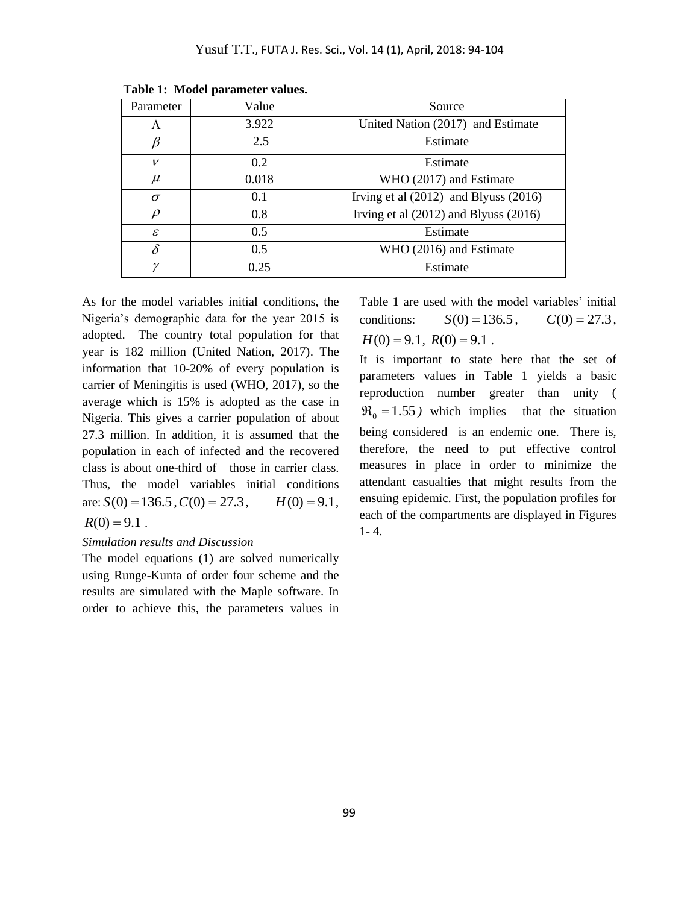| Parameter     | Value | Source                                    |
|---------------|-------|-------------------------------------------|
| Λ             | 3.922 | United Nation (2017) and Estimate         |
|               | 2.5   | Estimate                                  |
| v             | 0.2   | Estimate                                  |
| $\mu$         | 0.018 | WHO (2017) and Estimate                   |
| $\sigma$      | 0.1   | Irving et al $(2012)$ and Blyuss $(2016)$ |
| $\rho$        | 0.8   | Irving et al $(2012)$ and Blyuss $(2016)$ |
| $\mathcal{E}$ | 0.5   | Estimate                                  |
| $\delta$      | 0.5   | WHO (2016) and Estimate                   |
| $\gamma$      | 0.25  | Estimate                                  |

**Table 1: Model parameter values.**

As for the model variables initial conditions, the Nigeria's demographic data for the year 2015 is adopted. The country total population for that year is 182 million (United Nation, 2017). The information that 10-20% of every population is carrier of Meningitis is used (WHO, 2017), so the average which is 15% is adopted as the case in Nigeria. This gives a carrier population of about 27.3 million. In addition, it is assumed that the population in each of infected and the recovered class is about one-third of those in carrier class. Thus, the model variables initial conditions are:  $S(0) = 136.5$ ,  $C(0) = 27.3$ ,  $H(0) = 9.1$ ,  $R(0) = 9.1$ .

## *Simulation results and Discussion*

The model equations (1) are solved numerically using Runge-Kunta of order four scheme and the results are simulated with the Maple software. In order to achieve this, the parameters values in Table 1 are used with the model variables' initial conditions:  $S(0) = 136.5$ ,  $C(0) = 27.3$ ,  $H(0) = 9.1$ ,  $R(0) = 9.1$ .

It is important to state here that the set of parameters values in Table 1 yields a basic reproduction number greater than unity (  $\mathfrak{R}_0 = 1.55$ ) which implies that the situation being considered is an endemic one. There is, therefore, the need to put effective control measures in place in order to minimize the attendant casualties that might results from the ensuing epidemic. First, the population profiles for each of the compartments are displayed in Figures  $1 - 4.$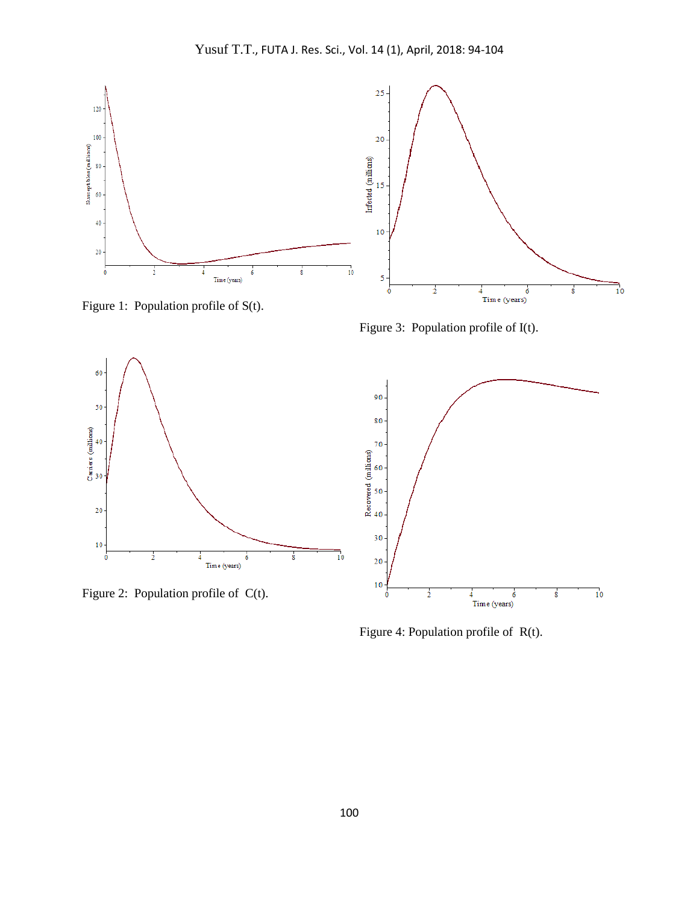

Figure 1: Population profile of S(t).

Figure 3: Population profile of I(t).



Figure 2: Population profile of C(t).



Figure 4: Population profile of R(t).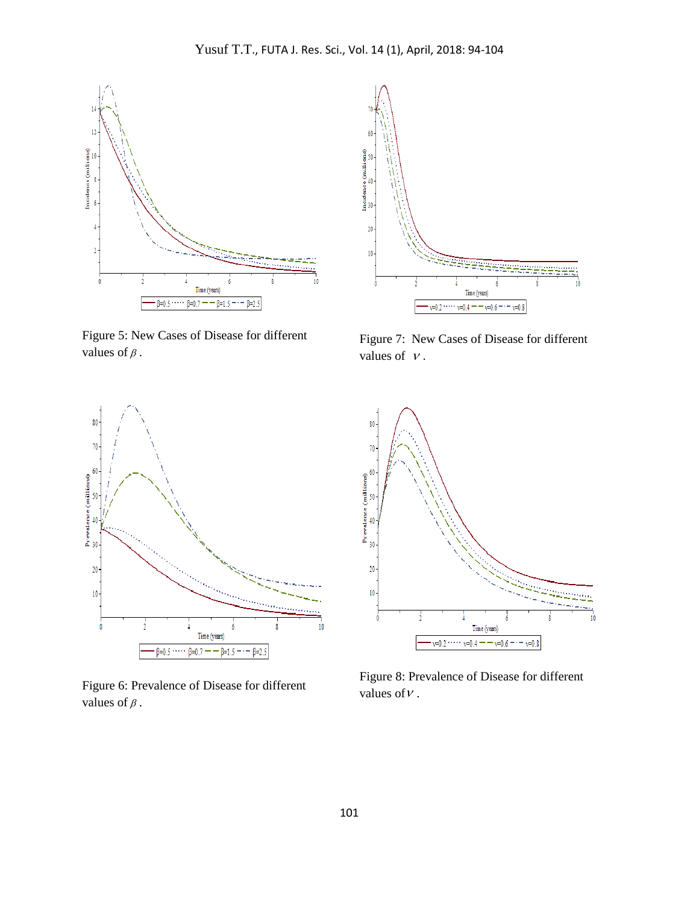

Figure 5: New Cases of Disease for different values of  $\beta$ .



Figure 7: New Cases of Disease for different values of  $\nu$ .



Figure 6: Prevalence of Disease for different values of  $\beta$ .



Figure 8: Prevalence of Disease for different values of  $\nu$ .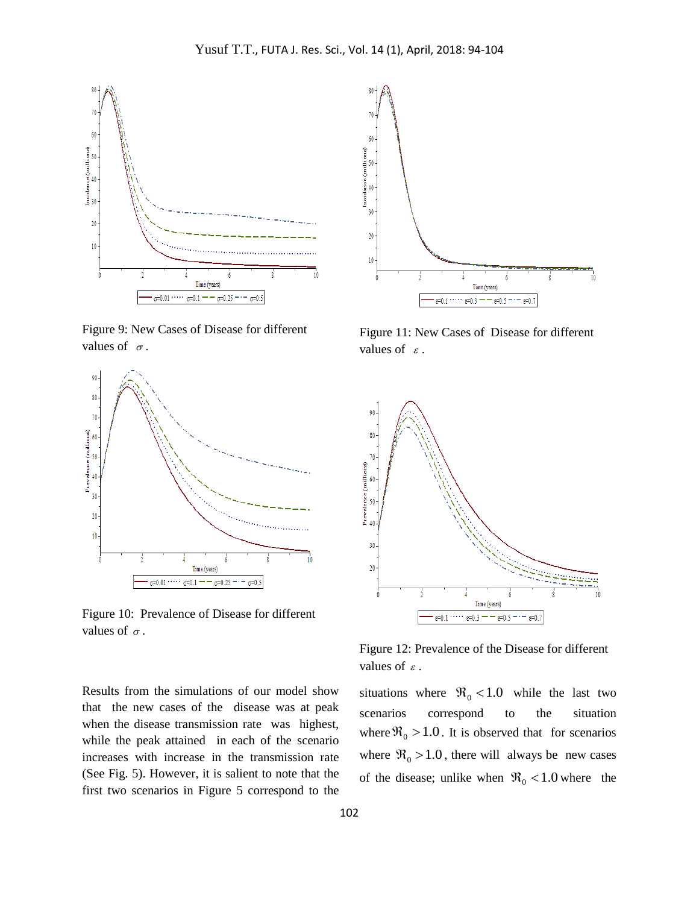

Figure 9: New Cases of Disease for different values of  $\sigma$ .



Figure 10: Prevalence of Disease for different values of  $\sigma$ .

Results from the simulations of our model show that the new cases of the disease was at peak when the disease transmission rate was highest, while the peak attained in each of the scenario increases with increase in the transmission rate (See Fig. 5). However, it is salient to note that the first two scenarios in Figure 5 correspond to the



Figure 11: New Cases of Disease for different values of  $\varepsilon$ .



Figure 12: Prevalence of the Disease for different values of  $\varepsilon$ .

situations where  $\Re_0 < 1.0$  while the last two scenarios correspond to the situation where  $\Re_0 > 1.0$ . It is observed that for scenarios where  $\Re_0 > 1.0$ , there will always be new cases of the disease; unlike when  $\Re_0 < 1.0$  where the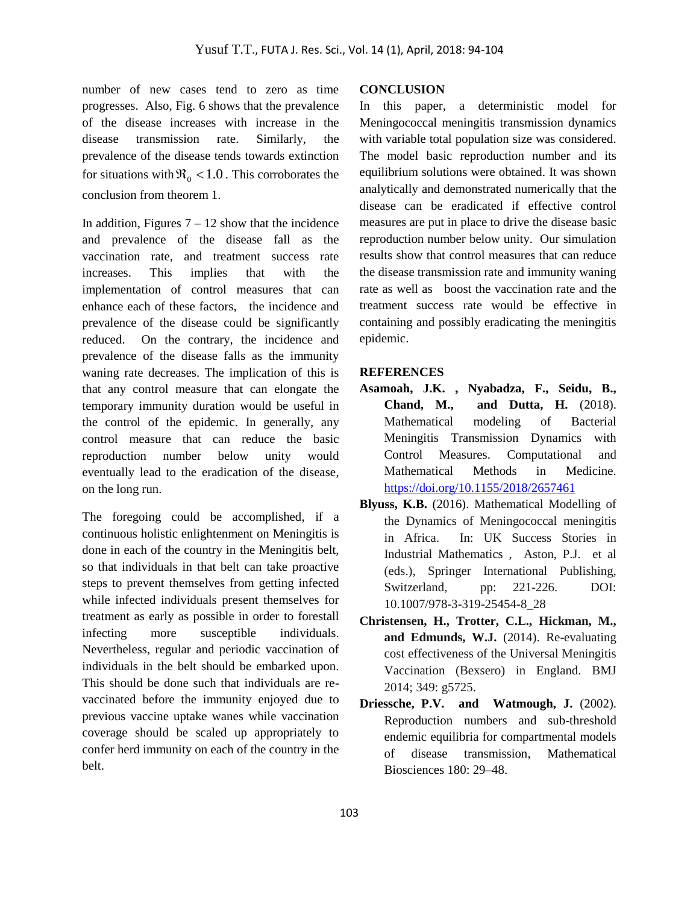number of new cases tend to zero as time progresses. Also, Fig. 6 shows that the prevalence of the disease increases with increase in the disease transmission rate. Similarly, the prevalence of the disease tends towards extinction for situations with  $\Re_0 < 1.0$ . This corroborates the conclusion from theorem 1.

In addition, Figures  $7 - 12$  show that the incidence and prevalence of the disease fall as the vaccination rate, and treatment success rate increases. This implies that with the implementation of control measures that can enhance each of these factors, the incidence and prevalence of the disease could be significantly reduced. On the contrary, the incidence and prevalence of the disease falls as the immunity waning rate decreases. The implication of this is that any control measure that can elongate the temporary immunity duration would be useful in the control of the epidemic. In generally, any control measure that can reduce the basic reproduction number below unity would eventually lead to the eradication of the disease, on the long run.

The foregoing could be accomplished, if a continuous holistic enlightenment on Meningitis is done in each of the country in the Meningitis belt, so that individuals in that belt can take proactive steps to prevent themselves from getting infected while infected individuals present themselves for treatment as early as possible in order to forestall infecting more susceptible individuals. Nevertheless, regular and periodic vaccination of individuals in the belt should be embarked upon. This should be done such that individuals are revaccinated before the immunity enjoyed due to previous vaccine uptake wanes while vaccination coverage should be scaled up appropriately to confer herd immunity on each of the country in the belt.

### **CONCLUSION**

In this paper, a deterministic model for Meningococcal meningitis transmission dynamics with variable total population size was considered. The model basic reproduction number and its equilibrium solutions were obtained. It was shown analytically and demonstrated numerically that the disease can be eradicated if effective control measures are put in place to drive the disease basic reproduction number below unity. Our simulation results show that control measures that can reduce the disease transmission rate and immunity waning rate as well as boost the vaccination rate and the treatment success rate would be effective in containing and possibly eradicating the meningitis epidemic.

#### **REFERENCES**

- **Asamoah, J.K. , Nyabadza, F., Seidu, B., Chand, M., and Dutta, H.** (2018). Mathematical modeling of Bacterial Meningitis Transmission Dynamics with Control Measures. Computational and Mathematical Methods in Medicine. <https://doi.org/10.1155/2018/2657461>
- **Blyuss, K.B.** (2016). Mathematical Modelling of the Dynamics of Meningococcal meningitis in Africa. In: UK Success Stories in Industrial Mathematics , Aston, P.J. et al (eds.), Springer International Publishing, Switzerland, pp: 221-226. DOI: 10.1007/978-3-319-25454-8\_28
- **Christensen, H., Trotter, C.L., Hickman, M., and Edmunds, W.J.** (2014). Re-evaluating cost effectiveness of the Universal Meningitis Vaccination (Bexsero) in England. BMJ 2014; 349: g5725.
- **Driessche, P.V. and Watmough, J.** (2002). Reproduction numbers and sub-threshold endemic equilibria for compartmental models of disease transmission, Mathematical Biosciences 180: 29–48.